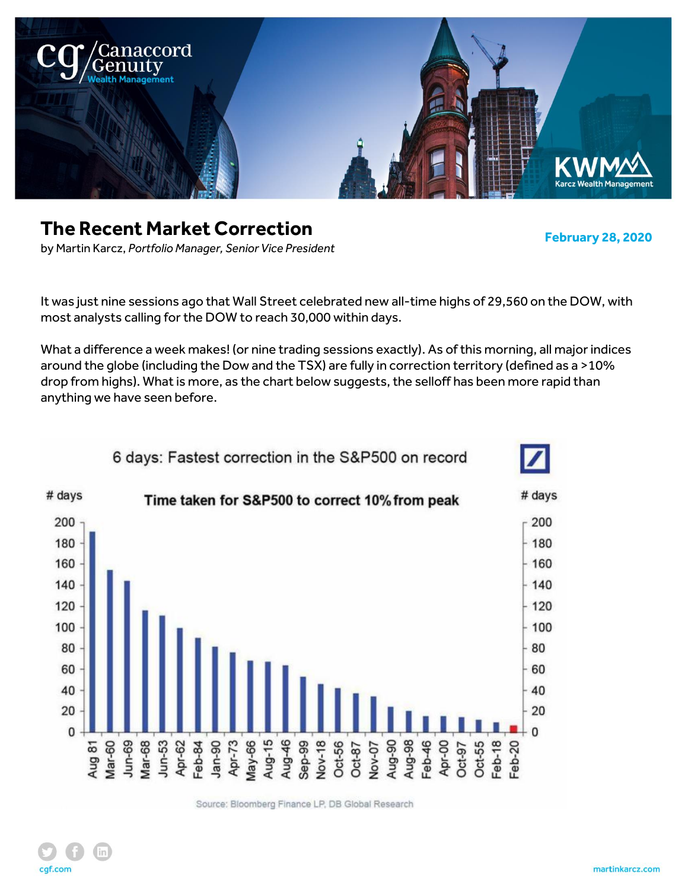

# **The Recent Market Correction**

**February 28, 2020**

by Martin Karcz, *Portfolio Manager, Senior Vice President*

It was just nine sessions ago that Wall Street celebrated new all-time highs of 29,560 on the DOW, with most analysts calling for the DOW to reach 30,000 within days.

What a difference a week makes! (or nine trading sessions exactly). As of this morning, all major indices around the globe (including the Dow and the TSX) are fully in correction territory (defined as a >10% drop from highs). What is more, as the chart below suggests, the selloff has been more rapid than anything we have seen before.



Source: Bloomberg Finance LP, DB Global Research

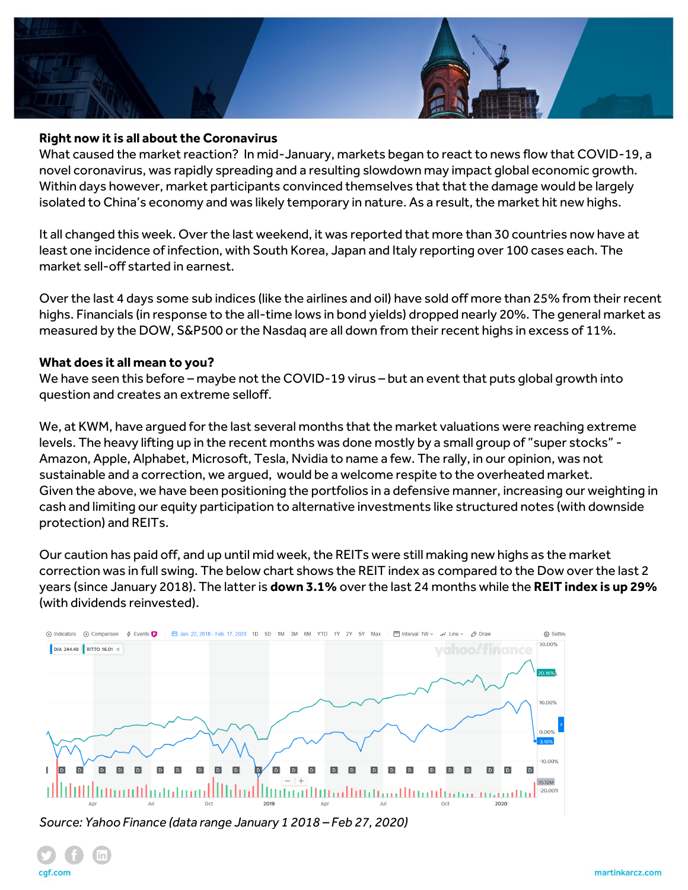

#### **Right now it is all about the Coronavirus**

What caused the market reaction? In mid-January, markets began to react to news flow that COVID-19, a novel coronavirus, was rapidly spreading and a resulting slowdown may impact global economic growth. Within days however, market participants convinced themselves that that the damage would be largely isolated to China's economy and was likely temporary in nature. As a result, the market hit new highs.

It all changed this week. Over the last weekend, it was reported that more than 30 countries now have at least one incidence of infection, with South Korea, Japan and Italy reporting over 100 cases each. The market sell-off started in earnest.

Over the last 4 days some sub indices (like the airlines and oil) have sold off more than 25% from their recent highs. Financials (in response to the all-time lows in bond yields) dropped nearly 20%. The general market as measured by the DOW, S&P500 or the Nasdaq are all down from their recent highs in excess of 11%.

#### **What does it all mean to you?**

We have seen this before – maybe not the COVID-19 virus – but an event that puts global growth into question and creates an extreme selloff.

We, at KWM, have argued for the last several months that the market valuations were reaching extreme levels. The heavy lifting up in the recent months was done mostly by a small group of "super stocks" - Amazon, Apple, Alphabet, Microsoft, Tesla, Nvidia to name a few. The rally, in our opinion, was not sustainable and a correction, we argued, would be a welcome respite to the overheated market. Given the above, we have been positioning the portfolios in a defensive manner, increasing our weighting in cash and limiting our equity participation to alternative investments like structured notes (with downside protection) and REITs.

Our caution has paid off, and up until mid week, the REITs were still making new highs as the market correction was in full swing. The below chart shows the REIT index as compared to the Dow over the last 2 years (since January 2018). The latter is **down 3.1%** over the last 24 months while the **REIT index is up 29%** (with dividends reinvested).



*Source: Yahoo Finance (data range January 1 2018 – Feb 27, 2020)*

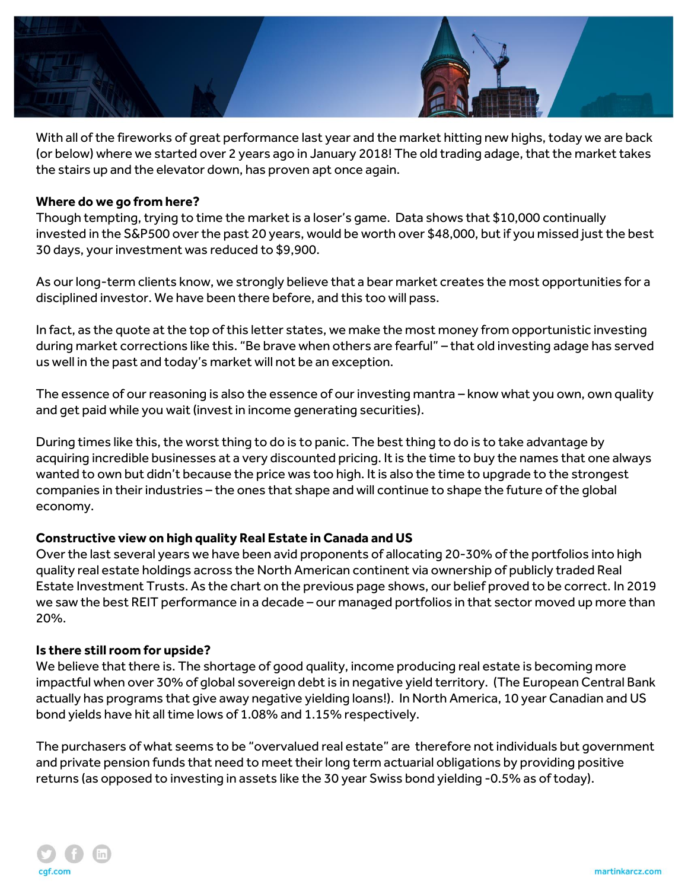

With all of the fireworks of great performance last year and the market hitting new highs, today we are back (or below) where we started over 2 years ago in January 2018! The old trading adage, that the market takes the stairs up and the elevator down, has proven apt once again.

## **Where do we go from here?**

Though tempting, trying to time the market is a loser's game. Data shows that \$10,000 continually invested in the S&P500 over the past 20 years, would be worth over \$48,000, but if you missed just the best 30 days, your investment was reduced to \$9,900.

As our long-term clients know, we strongly believe that a bear market creates the most opportunities for a disciplined investor. We have been there before, and this too will pass.

In fact, as the quote at the top of this letter states, we make the most money from opportunistic investing during market corrections like this. "Be brave when others are fearful" – that old investing adage has served us well in the past and today's market will not be an exception.

The essence of our reasoning is also the essence of our investing mantra – know what you own, own quality and get paid while you wait (invest in income generating securities).

During times like this, the worst thing to do is to panic. The best thing to do is to take advantage by acquiring incredible businesses at a very discounted pricing. It is the time to buy the names that one always wanted to own but didn't because the price was too high. It is also the time to upgrade to the strongest companies in their industries – the ones that shape and will continue to shape the future of the global economy.

## **Constructive view on high quality Real Estate in Canada and US**

Over the last several years we have been avid proponents of allocating 20-30% of the portfolios into high quality real estate holdings across the North American continent via ownership of publicly traded Real Estate Investment Trusts. As the chart on the previous page shows, our belief proved to be correct. In 2019 we saw the best REIT performance in a decade – our managed portfolios in that sector moved up more than 20%.

## **Is there still room for upside?**

We believe that there is. The shortage of good quality, income producing real estate is becoming more impactful when over 30% of global sovereign debt is in negative yield territory. (The European Central Bank actually has programs that give away negative yielding loans!). In North America, 10 year Canadian and US bond yields have hit all time lows of 1.08% and 1.15% respectively.

The purchasers of what seems to be "overvalued real estate" are therefore not individuals but government and private pension funds that need to meet their long term actuarial obligations by providing positive returns (as opposed to investing in assets like the 30 year Swiss bond yielding -0.5% as of today).